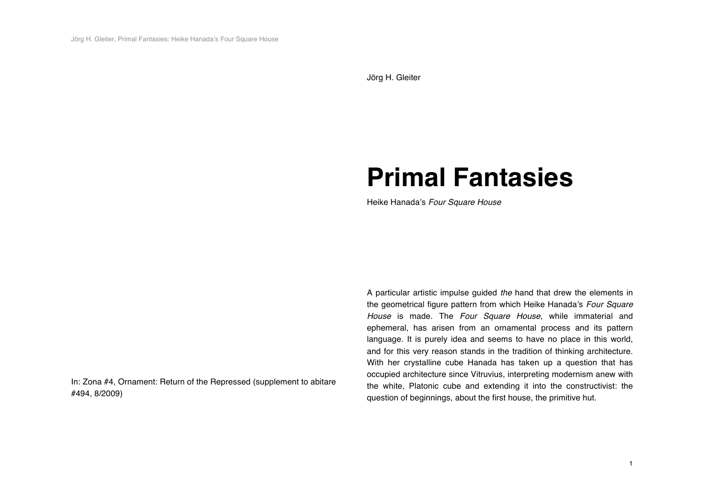Jörg H. Gleiter

## **Primal Fantasies**

Heike Hanada's *Four Square House*

In: Zona #4, Ornament: Return of the Repressed (supplement to abitare #494, 8/2009)

A particular artistic impulse guided *the* hand that drew the elements in the geometrical figure pattern from which Heike Hanada's *Four Square House* is made. The *Four Square House*, while immaterial and ephemeral, has arisen from an ornamental process and its pattern language. It is purely idea and seems to have no place in this world, and for this very reason stands in the tradition of thinking architecture. With her crystalline cube Hanada has taken up a question that has occupied architecture since Vitruvius, interpreting modernism anew with the white, Platonic cube and extending it into the constructivist: the question of beginnings, about the first house, the primitive hut.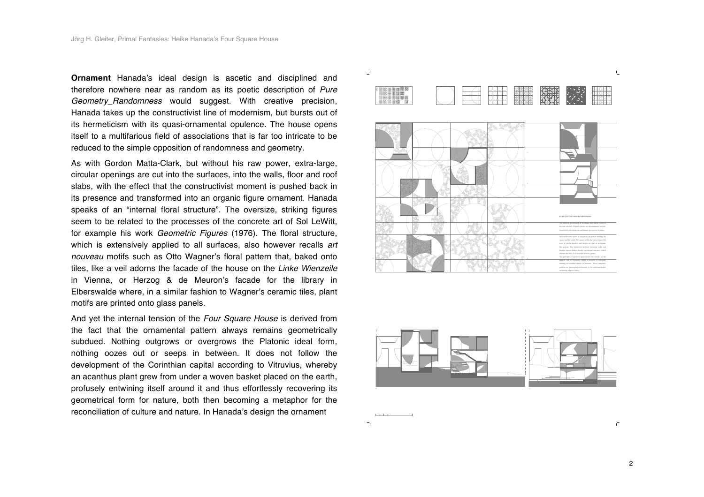**Ornament** Hanada's ideal design is ascetic and disciplined and therefore nowhere near as random as its poetic description of *Pure Geometry\_Randomness* would suggest. With creative precision, Hanada takes up the constructivist line of modernism, but bursts out of its hermeticism with its quasi-ornamental opulence. The house opens itself to a multifarious field of associations that is far too intricate to be reduced to the simple opposition of randomness and geometry.

As with Gordon Matta-Clark, but without his raw power, extra-large, circular openings are cut into the surfaces, into the walls, floor and roof slabs, with the effect that the constructivist moment is pushed back in its presence and transformed into an organic figure ornament. Hanada speaks of an "internal floral structure". The oversize, striking figures seem to be related to the processes of the concrete art of Sol LeWitt, for example his work *Geometric Figures* (1976). The floral structure, which is extensively applied to all surfaces, also however recalls *art nouveau* motifs such as Otto Wagner's floral pattern that, baked onto tiles, like a veil adorns the facade of the house on the *Linke Wienzeile* in Vienna, or Herzog & de Meuron's facade for the library in Elberswalde where, in a similar fashion to Wagner's ceramic tiles, plant motifs are printed onto glass panels.

And yet the internal tension of the *Four Square House* is derived from the fact that the ornamental pattern always remains geometrically subdued. Nothing outgrows or overgrows the Platonic ideal form, nothing oozes out or seeps in between. It does not follow the development of the Corinthian capital according to Vitruvius, whereby an acanthus plant grew from under a woven basket placed on the earth, profusely entwining itself around it and thus effortlessly recovering its geometrical form for nature, both then becoming a metaphor for the reconciliation of culture and nature. In Hanada's design the ornament





 $\Gamma$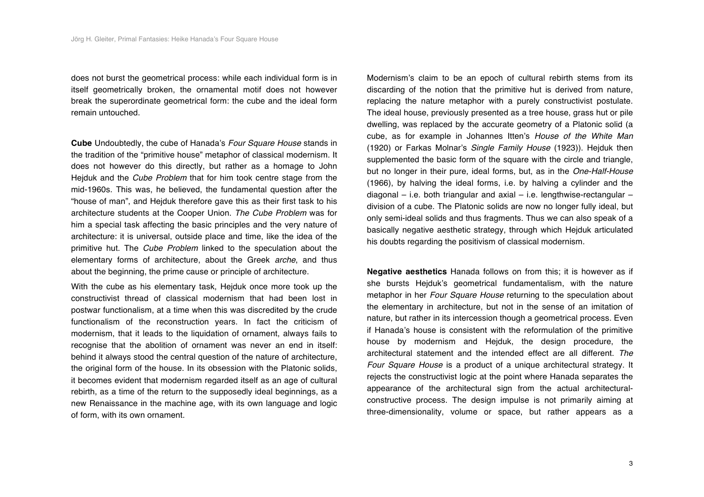does not burst the geometrical process: while each individual form is in itself geometrically broken, the ornamental motif does not however break the superordinate geometrical form: the cube and the ideal form remain untouched.

**Cube** Undoubtedly, the cube of Hanada's *Four Square House* stands in the tradition of the "primitive house" metaphor of classical modernism. It does not however do this directly, but rather as a homage to John Hejduk and the *Cube Problem* that for him took centre stage from the mid-1960s. This was, he believed, the fundamental question after the "house of man", and Hejduk therefore gave this as their first task to his architecture students at the Cooper Union. *The Cube Problem* was for him a special task affecting the basic principles and the very nature of architecture: it is universal, outside place and time, like the idea of the primitive hut. The *Cube Problem* linked to the speculation about the elementary forms of architecture, about the Greek *arche*, and thus about the beginning, the prime cause or principle of architecture.

With the cube as his elementary task, Hejduk once more took up the constructivist thread of classical modernism that had been lost in postwar functionalism, at a time when this was discredited by the crude functionalism of the reconstruction years. In fact the criticism of modernism, that it leads to the liquidation of ornament, always fails to recognise that the abolition of ornament was never an end in itself: behind it always stood the central question of the nature of architecture, the original form of the house. In its obsession with the Platonic solids, it becomes evident that modernism regarded itself as an age of cultural rebirth, as a time of the return to the supposedly ideal beginnings, as a new Renaissance in the machine age, with its own language and logic of form, with its own ornament.

Modernism's claim to be an epoch of cultural rebirth stems from its discarding of the notion that the primitive hut is derived from nature, replacing the nature metaphor with a purely constructivist postulate. The ideal house, previously presented as a tree house, grass hut or pile dwelling, was replaced by the accurate geometry of a Platonic solid (a cube, as for example in Johannes Itten's *House of the White Man* (1920) or Farkas Molnar's *Single Family House* (1923)). Hejduk then supplemented the basic form of the square with the circle and triangle, but no longer in their pure, ideal forms, but, as in the *One-Half-House* (1966), by halving the ideal forms, i.e. by halving a cylinder and the diagonal – i.e. both triangular and axial – i.e. lengthwise-rectangular – division of a cube. The Platonic solids are now no longer fully ideal, but only semi-ideal solids and thus fragments. Thus we can also speak of a basically negative aesthetic strategy, through which Hejduk articulated his doubts regarding the positivism of classical modernism.

**Negative aesthetics** Hanada follows on from this; it is however as if she bursts Hejduk's geometrical fundamentalism, with the nature metaphor in her *Four Square House* returning to the speculation about the elementary in architecture, but not in the sense of an imitation of nature, but rather in its intercession though a geometrical process. Even if Hanada's house is consistent with the reformulation of the primitive house by modernism and Hejduk, the design procedure, the architectural statement and the intended effect are all different. *The Four Square House* is a product of a unique architectural strategy. It rejects the constructivist logic at the point where Hanada separates the appearance of the architectural sign from the actual architecturalconstructive process. The design impulse is not primarily aiming at three-dimensionality, volume or space, but rather appears as a